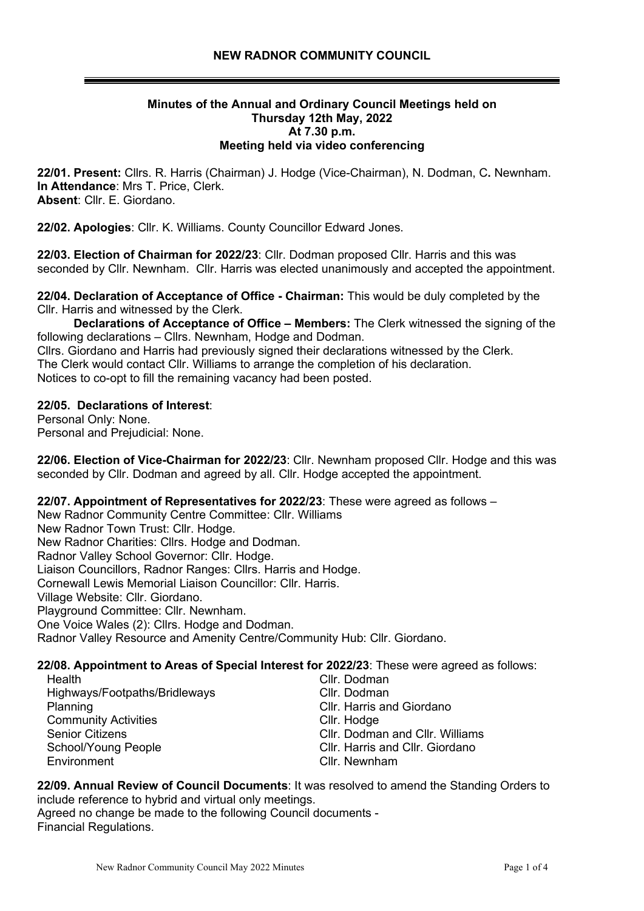#### **Minutes of the Annual and Ordinary Council Meetings held on Thursday 12th May, 2022 At 7.30 p.m. Meeting held via video conferencing**

**22/01. Present:** Cllrs. R. Harris (Chairman) J. Hodge (Vice-Chairman), N. Dodman, C**.** Newnham. **In Attendance**: Mrs T. Price, Clerk. **Absent**: Cllr. E. Giordano.

**22/02. Apologies**: Cllr. K. Williams. County Councillor Edward Jones.

**22/03. Election of Chairman for 2022/23**: Cllr. Dodman proposed Cllr. Harris and this was seconded by Cllr. Newnham. Cllr. Harris was elected unanimously and accepted the appointment.

**22/04. Declaration of Acceptance of Office - Chairman:** This would be duly completed by the Cllr. Harris and witnessed by the Clerk.

 **Declarations of Acceptance of Office – Members:** The Clerk witnessed the signing of the following declarations – Cllrs. Newnham, Hodge and Dodman. Cllrs. Giordano and Harris had previously signed their declarations witnessed by the Clerk. The Clerk would contact Cllr. Williams to arrange the completion of his declaration. Notices to co-opt to fill the remaining vacancy had been posted.

#### **22/05. Declarations of Interest**:

Personal Only: None. Personal and Prejudicial: None.

**22/06. Election of Vice-Chairman for 2022/23**: Cllr. Newnham proposed Cllr. Hodge and this was seconded by Cllr. Dodman and agreed by all. Cllr. Hodge accepted the appointment.

**22/07. Appointment of Representatives for 2022/23**: These were agreed as follows –

New Radnor Community Centre Committee: Cllr. Williams

New Radnor Town Trust: Cllr. Hodge.

New Radnor Charities: Cllrs. Hodge and Dodman.

Radnor Valley School Governor: Cllr. Hodge.

Liaison Councillors, Radnor Ranges: Cllrs. Harris and Hodge.

Cornewall Lewis Memorial Liaison Councillor: Cllr. Harris.

Village Website: Cllr. Giordano.

Playground Committee: Cllr. Newnham.

One Voice Wales (2): Cllrs. Hodge and Dodman.

Radnor Valley Resource and Amenity Centre/Community Hub: Cllr. Giordano.

#### **22/08. Appointment to Areas of Special Interest for 2022/23**: These were agreed as follows:

| Health                        | Cllr. Dodman                           |  |
|-------------------------------|----------------------------------------|--|
| Highways/Footpaths/Bridleways | Cllr. Dodman                           |  |
| Planning                      | Cllr. Harris and Giordano              |  |
| <b>Community Activities</b>   | Cllr. Hodge                            |  |
| <b>Senior Citizens</b>        | <b>CIIr. Dodman and CIIr. Williams</b> |  |
| School/Young People           | Cllr. Harris and Cllr. Giordano        |  |
| Environment                   | Cllr. Newnham                          |  |

**22/09. Annual Review of Council Documents**: It was resolved to amend the Standing Orders to include reference to hybrid and virtual only meetings.

Agreed no change be made to the following Council documents - Financial Regulations.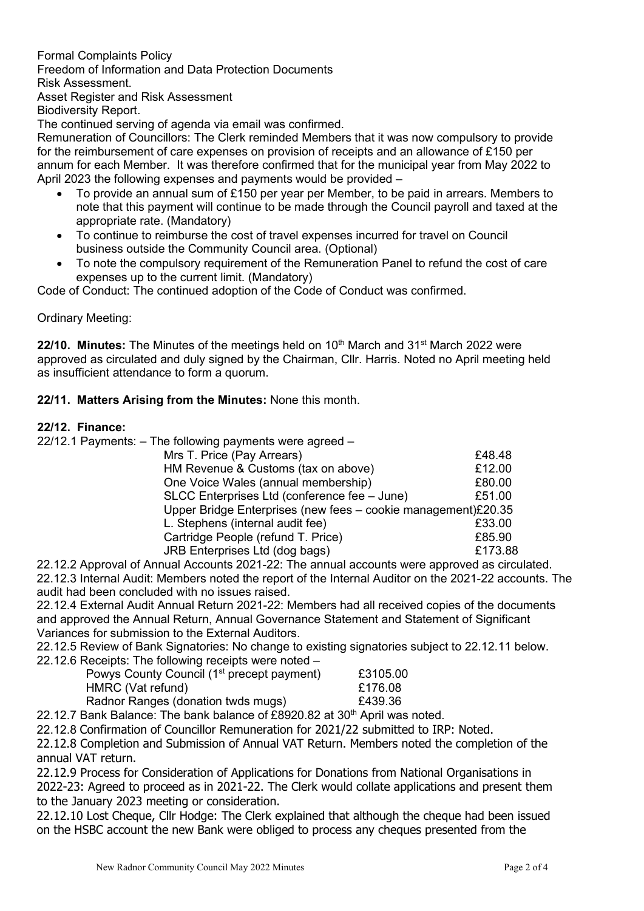Formal Complaints Policy Freedom of Information and Data Protection Documents Risk Assessment. Asset Register and Risk Assessment

Biodiversity Report.

The continued serving of agenda via email was confirmed.

Remuneration of Councillors: The Clerk reminded Members that it was now compulsory to provide for the reimbursement of care expenses on provision of receipts and an allowance of £150 per annum for each Member. It was therefore confirmed that for the municipal year from May 2022 to April 2023 the following expenses and payments would be provided –

- To provide an annual sum of £150 per year per Member, to be paid in arrears. Members to note that this payment will continue to be made through the Council payroll and taxed at the appropriate rate. (Mandatory)
- To continue to reimburse the cost of travel expenses incurred for travel on Council business outside the Community Council area. (Optional)
- To note the compulsory requirement of the Remuneration Panel to refund the cost of care expenses up to the current limit. (Mandatory)

Code of Conduct: The continued adoption of the Code of Conduct was confirmed.

#### Ordinary Meeting:

**22/10. Minutes:** The Minutes of the meetings held on 10<sup>th</sup> March and 31<sup>st</sup> March 2022 were approved as circulated and duly signed by the Chairman, Cllr. Harris. Noted no April meeting held as insufficient attendance to form a quorum.

**22/11. Matters Arising from the Minutes:** None this month.

#### **22/12. Finance:**

22/12.1 Payments: – The following payments were agreed –

| £48.48                                                        |
|---------------------------------------------------------------|
| £12.00                                                        |
| £80.00                                                        |
| £51.00                                                        |
| Upper Bridge Enterprises (new fees - cookie management)£20.35 |
| £33.00                                                        |
| £85.90                                                        |
| £173.88                                                       |
|                                                               |

22.12.2 Approval of Annual Accounts 2021-22: The annual accounts were approved as circulated. 22.12.3 Internal Audit: Members noted the report of the Internal Auditor on the 2021-22 accounts. The audit had been concluded with no issues raised.

22.12.4 External Audit Annual Return 2021-22: Members had all received copies of the documents and approved the Annual Return, Annual Governance Statement and Statement of Significant Variances for submission to the External Auditors.

22.12.5 Review of Bank Signatories: No change to existing signatories subject to 22.12.11 below. 22.12.6 Receipts: The following receipts were noted –

| Powys County Council (1 <sup>st</sup> precept payment) | £3105.00 |
|--------------------------------------------------------|----------|
| HMRC (Vat refund)                                      | £176.08  |
| Radnor Ranges (donation twds mugs)                     | £439.36  |

22.12.7 Bank Balance: The bank balance of  $£8920.82$  at  $30<sup>th</sup>$  April was noted.

22.12.8 Confirmation of Councillor Remuneration for 2021/22 submitted to IRP: Noted.

22.12.8 Completion and Submission of Annual VAT Return. Members noted the completion of the annual VAT return.

22.12.9 Process for Consideration of Applications for Donations from National Organisations in 2022-23: Agreed to proceed as in 2021-22. The Clerk would collate applications and present them to the January 2023 meeting or consideration.

22.12.10 Lost Cheque, Cllr Hodge: The Clerk explained that although the cheque had been issued on the HSBC account the new Bank were obliged to process any cheques presented from the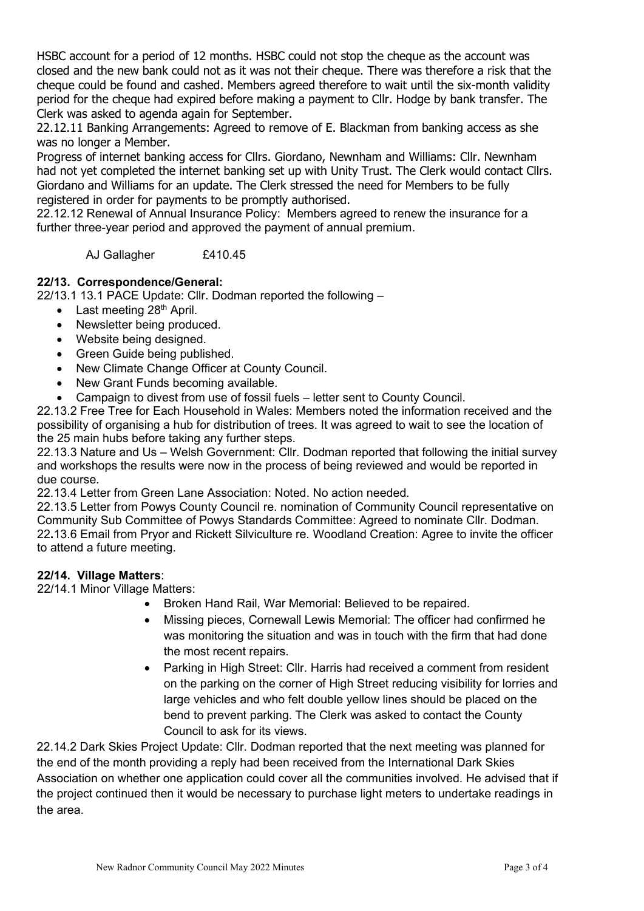HSBC account for a period of 12 months. HSBC could not stop the cheque as the account was closed and the new bank could not as it was not their cheque. There was therefore a risk that the cheque could be found and cashed. Members agreed therefore to wait until the six-month validity period for the cheque had expired before making a payment to Cllr. Hodge by bank transfer. The Clerk was asked to agenda again for September.

22.12.11 Banking Arrangements: Agreed to remove of E. Blackman from banking access as she was no longer a Member.

Progress of internet banking access for Cllrs. Giordano, Newnham and Williams: Cllr. Newnham had not yet completed the internet banking set up with Unity Trust. The Clerk would contact Cllrs. Giordano and Williams for an update. The Clerk stressed the need for Members to be fully registered in order for payments to be promptly authorised.

22.12.12 Renewal of Annual Insurance Policy: Members agreed to renew the insurance for a further three-year period and approved the payment of annual premium.

AJ Gallagher £410.45

### **22/13. Correspondence/General:**

22/13.1 13.1 PACE Update: Cllr. Dodman reported the following –

- Last meeting  $28<sup>th</sup>$  April.
- Newsletter being produced.
- Website being designed.
- Green Guide being published.
- New Climate Change Officer at County Council.
- New Grant Funds becoming available.
- Campaign to divest from use of fossil fuels letter sent to County Council.

22.13.2 Free Tree for Each Household in Wales: Members noted the information received and the possibility of organising a hub for distribution of trees. It was agreed to wait to see the location of the 25 main hubs before taking any further steps.

22.13.3 Nature and Us – Welsh Government: Cllr. Dodman reported that following the initial survey and workshops the results were now in the process of being reviewed and would be reported in due course.

22.13.4 Letter from Green Lane Association: Noted. No action needed.

22.13.5 Letter from Powys County Council re. nomination of Community Council representative on Community Sub Committee of Powys Standards Committee: Agreed to nominate Cllr. Dodman. 22**.**13.6 Email from Pryor and Rickett Silviculture re. Woodland Creation: Agree to invite the officer to attend a future meeting.

### **22/14. Village Matters**:

22/14.1 Minor Village Matters:

- Broken Hand Rail, War Memorial: Believed to be repaired.
- Missing pieces, Cornewall Lewis Memorial: The officer had confirmed he was monitoring the situation and was in touch with the firm that had done the most recent repairs.
- Parking in High Street: Cllr. Harris had received a comment from resident on the parking on the corner of High Street reducing visibility for lorries and large vehicles and who felt double yellow lines should be placed on the bend to prevent parking. The Clerk was asked to contact the County Council to ask for its views.

22.14.2 Dark Skies Project Update: Cllr. Dodman reported that the next meeting was planned for the end of the month providing a reply had been received from the International Dark Skies Association on whether one application could cover all the communities involved. He advised that if the project continued then it would be necessary to purchase light meters to undertake readings in the area.